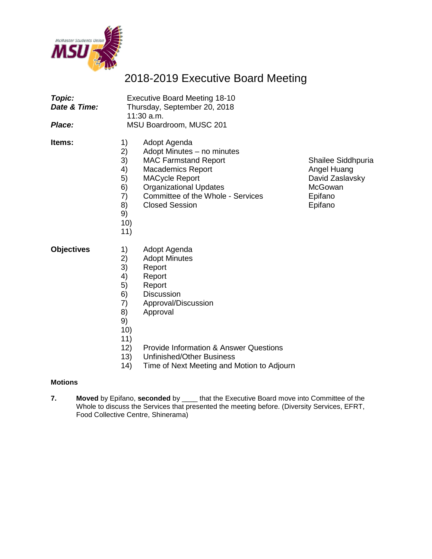

## 2018-2019 Executive Board Meeting

| Topic:<br>Date & Time:<br><i><b>Place:</b></i> | <b>Executive Board Meeting 18-10</b><br>Thursday, September 20, 2018<br>11:30 a.m.<br>MSU Boardroom, MUSC 201 |                                                                                                                                                                                                                               |                                                                                       |  |  |
|------------------------------------------------|---------------------------------------------------------------------------------------------------------------|-------------------------------------------------------------------------------------------------------------------------------------------------------------------------------------------------------------------------------|---------------------------------------------------------------------------------------|--|--|
| Items:                                         | 1)<br>2)<br>3)<br>4)<br>5)<br>6)<br>7)<br>8)<br>9)<br>10)<br>11)                                              | Adopt Agenda<br>Adopt Minutes - no minutes<br><b>MAC Farmstand Report</b><br><b>Macademics Report</b><br><b>MACycle Report</b><br><b>Organizational Updates</b><br>Committee of the Whole - Services<br><b>Closed Session</b> | Shailee Siddhpuria<br>Angel Huang<br>David Zaslavsky<br>McGowan<br>Epifano<br>Epifano |  |  |
| <b>Objectives</b>                              | 1)<br>2)<br>3)<br>4)<br>5)<br>6)<br>7)<br>8)<br>9)<br>10)<br>11)                                              | Adopt Agenda<br><b>Adopt Minutes</b><br>Report<br>Report<br>Report<br><b>Discussion</b><br>Approval/Discussion<br>Approval                                                                                                    |                                                                                       |  |  |
|                                                | 12)                                                                                                           | <b>Provide Information &amp; Answer Questions</b>                                                                                                                                                                             |                                                                                       |  |  |

13) Unfinished/Other Business 14) Time of Next Meeting and Motion to Adjourn

#### **Motions**

**7. Moved** by Epifano, **seconded** by \_\_\_\_ that the Executive Board move into Committee of the Whole to discuss the Services that presented the meeting before. (Diversity Services, EFRT, Food Collective Centre, Shinerama)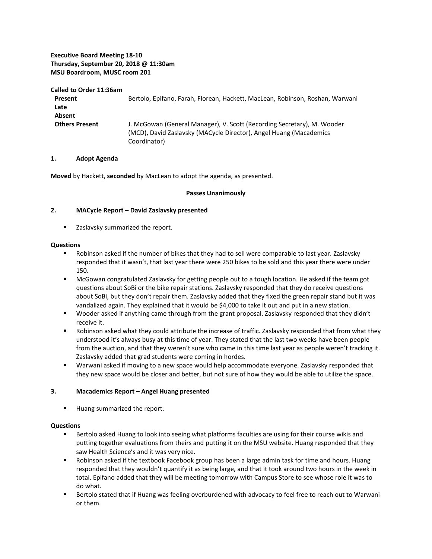#### **Executive Board Meeting 18-10 Thursday, September 20, 2018 @ 11:30am MSU Boardroom, MUSC room 201**

#### **Called to Order 11:36am**

| Present<br>Late       | Bertolo, Epifano, Farah, Florean, Hackett, MacLean, Robinson, Roshan, Warwani                                                                                 |  |  |
|-----------------------|---------------------------------------------------------------------------------------------------------------------------------------------------------------|--|--|
| Absent                |                                                                                                                                                               |  |  |
| <b>Others Present</b> | J. McGowan (General Manager), V. Scott (Recording Secretary), M. Wooder<br>(MCD), David Zaslavsky (MACycle Director), Angel Huang (Macademics<br>Coordinator) |  |  |

#### **1. Adopt Agenda**

**Moved** by Hackett, **seconded** by MacLean to adopt the agenda, as presented.

#### **Passes Unanimously**

#### **2. MACycle Report – David Zaslavsky presented**

Zaslavsky summarized the report.

#### **Questions**

- Robinson asked if the number of bikes that they had to sell were comparable to last year. Zaslavsky responded that it wasn't, that last year there were 250 bikes to be sold and this year there were under 150.
- **McGowan congratulated Zaslavsky for getting people out to a tough location. He asked if the team got** questions about SoBi or the bike repair stations. Zaslavsky responded that they do receive questions about SoBi, but they don't repair them. Zaslavsky added that they fixed the green repair stand but it was vandalized again. They explained that it would be \$4,000 to take it out and put in a new station.
- Wooder asked if anything came through from the grant proposal. Zaslavsky responded that they didn't receive it.
- Robinson asked what they could attribute the increase of traffic. Zaslavsky responded that from what they understood it's always busy at this time of year. They stated that the last two weeks have been people from the auction, and that they weren't sure who came in this time last year as people weren't tracking it. Zaslavsky added that grad students were coming in hordes.
- Warwani asked if moving to a new space would help accommodate everyone. Zaslavsky responded that they new space would be closer and better, but not sure of how they would be able to utilize the space.

#### **3. Macademics Report – Angel Huang presented**

Huang summarized the report.

#### **Questions**

- Bertolo asked Huang to look into seeing what platforms faculties are using for their course wikis and putting together evaluations from theirs and putting it on the MSU website. Huang responded that they saw Health Science's and it was very nice.
- Robinson asked if the textbook Facebook group has been a large admin task for time and hours. Huang responded that they wouldn't quantify it as being large, and that it took around two hours in the week in total. Epifano added that they will be meeting tomorrow with Campus Store to see whose role it was to do what.
- Bertolo stated that if Huang was feeling overburdened with advocacy to feel free to reach out to Warwani or them.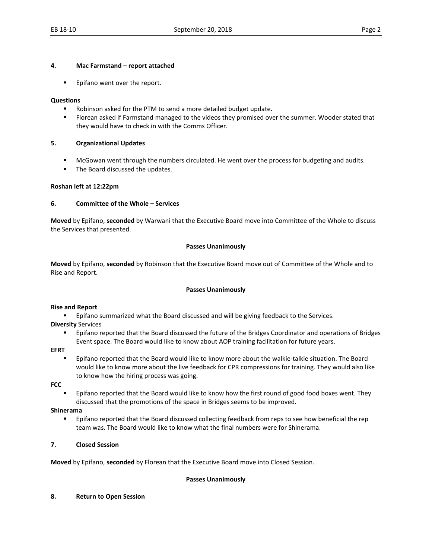#### **4. Mac Farmstand – report attached**

**Epifano went over the report.** 

#### **Questions**

- Robinson asked for the PTM to send a more detailed budget update.
- **FI** Florean asked if Farmstand managed to the videos they promised over the summer. Wooder stated that they would have to check in with the Comms Officer.

#### **5. Organizational Updates**

- McGowan went through the numbers circulated. He went over the process for budgeting and audits.
- The Board discussed the updates.

#### **Roshan left at 12:22pm**

#### **6. Committee of the Whole – Services**

**Moved** by Epifano, **seconded** by Warwani that the Executive Board move into Committee of the Whole to discuss the Services that presented.

#### **Passes Unanimously**

**Moved** by Epifano, **seconded** by Robinson that the Executive Board move out of Committee of the Whole and to Rise and Report.

#### **Passes Unanimously**

#### **Rise and Report**

**Epifano summarized what the Board discussed and will be giving feedback to the Services.** 

- **Diversity** Services
	- **Epifano reported that the Board discussed the future of the Bridges Coordinator and operations of Bridges** Event space. The Board would like to know about AOP training facilitation for future years.

#### **EFRT**

 Epifano reported that the Board would like to know more about the walkie-talkie situation. The Board would like to know more about the live feedback for CPR compressions for training. They would also like to know how the hiring process was going.

**FCC**

 Epifano reported that the Board would like to know how the first round of good food boxes went. They discussed that the promotions of the space in Bridges seems to be improved.

#### **Shinerama**

**EPIFALACT EPIFALACT FOR THE BOARD FIGURE 1** Collecting feedback from reps to see how beneficial the rep team was. The Board would like to know what the final numbers were for Shinerama.

#### **7. Closed Session**

**Moved** by Epifano, **seconded** by Florean that the Executive Board move into Closed Session.

#### **Passes Unanimously**

#### **8. Return to Open Session**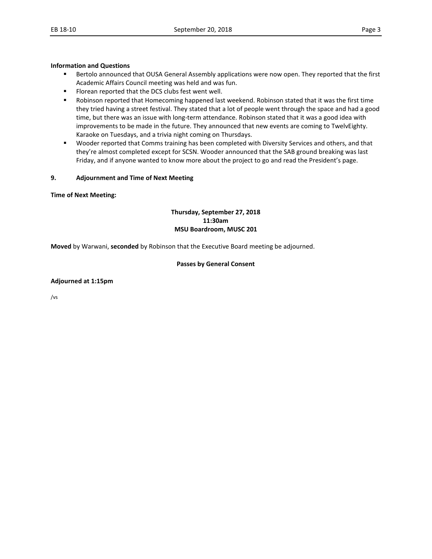#### **Information and Questions**

- **Bertolo announced that OUSA General Assembly applications were now open. They reported that the first** Academic Affairs Council meeting was held and was fun.
- **Florean reported that the DCS clubs fest went well.**
- **BUDING 19 And The State State is a state of that I common Stated that it was the first time in that it was the first time** they tried having a street festival. They stated that a lot of people went through the space and had a good time, but there was an issue with long-term attendance. Robinson stated that it was a good idea with improvements to be made in the future. They announced that new events are coming to TwelvEighty. Karaoke on Tuesdays, and a trivia night coming on Thursdays.
- Wooder reported that Comms training has been completed with Diversity Services and others, and that they're almost completed except for SCSN. Wooder announced that the SAB ground breaking was last Friday, and if anyone wanted to know more about the project to go and read the President's page.

#### **9. Adjournment and Time of Next Meeting**

**Time of Next Meeting:** 

#### **Thursday, September 27, 2018 11:30am MSU Boardroom, MUSC 201**

**Moved** by Warwani, **seconded** by Robinson that the Executive Board meeting be adjourned.

#### **Passes by General Consent**

#### **Adjourned at 1:15pm**

/vs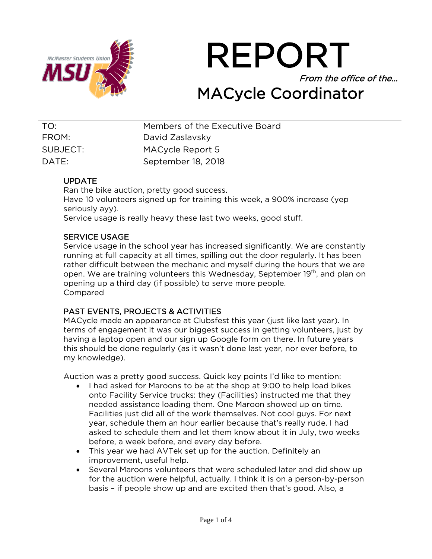

REPORT From the office of the… MACycle Coordinator

 TO: Members of the Executive Board FROM: David Zaslavsky SUBJECT: MACycle Report 5 DATE: September 18, 2018

## UPDATE

Ran the bike auction, pretty good success. Have 10 volunteers signed up for training this week, a 900% increase (yep seriously ayy). Service usage is really heavy these last two weeks, good stuff.

## SERVICE USAGE

Service usage in the school year has increased significantly. We are constantly running at full capacity at all times, spilling out the door regularly. It has been rather difficult between the mechanic and myself during the hours that we are open. We are training volunteers this Wednesday, September 19<sup>th</sup>, and plan on opening up a third day (if possible) to serve more people. Compared

## PAST EVENTS, PROJECTS & ACTIVITIES

MACycle made an appearance at Clubsfest this year (just like last year). In terms of engagement it was our biggest success in getting volunteers, just by having a laptop open and our sign up Google form on there. In future years this should be done regularly (as it wasn't done last year, nor ever before, to my knowledge).

Auction was a pretty good success. Quick key points I'd like to mention:

- I had asked for Maroons to be at the shop at 9:00 to help load bikes onto Facility Service trucks: they (Facilities) instructed me that they needed assistance loading them. One Maroon showed up on time. Facilities just did all of the work themselves. Not cool guys. For next year, schedule them an hour earlier because that's really rude. I had asked to schedule them and let them know about it in July, two weeks before, a week before, and every day before.
- This year we had AVTek set up for the auction. Definitely an improvement, useful help.
- Several Maroons volunteers that were scheduled later and did show up for the auction were helpful, actually. I think it is on a person-by-person basis – if people show up and are excited then that's good. Also, a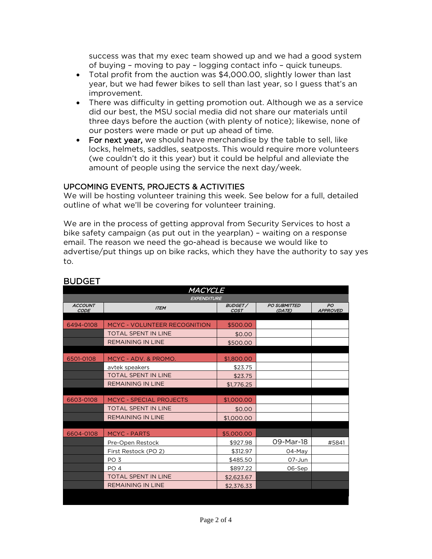success was that my exec team showed up and we had a good system of buying – moving to pay – logging contact info – quick tuneups.

- Total profit from the auction was \$4,000.00, slightly lower than last year, but we had fewer bikes to sell than last year, so I guess that's an improvement.
- There was difficulty in getting promotion out. Although we as a service did our best, the MSU social media did not share our materials until three days before the auction (with plenty of notice); likewise, none of our posters were made or put up ahead of time.
- For next year, we should have merchandise by the table to sell, like locks, helmets, saddles, seatposts. This would require more volunteers (we couldn't do it this year) but it could be helpful and alleviate the amount of people using the service the next day/week.

## UPCOMING EVENTS, PROJECTS & ACTIVITIES

We will be hosting volunteer training this week. See below for a full, detailed outline of what we'll be covering for volunteer training.

We are in the process of getting approval from Security Services to host a bike safety campaign (as put out in the yearplan) – waiting on a response email. The reason we need the go-ahead is because we would like to advertise/put things up on bike racks, which they have the authority to say yes to.

| MACYCLE                       |                                     |                        |                               |                       |  |  |
|-------------------------------|-------------------------------------|------------------------|-------------------------------|-----------------------|--|--|
| <b>EXPENDITURE</b>            |                                     |                        |                               |                       |  |  |
| <b>ACCOUNT</b><br><b>CODE</b> | <b>ITEM</b>                         | BUDGET/<br><b>COST</b> | <b>PO SUBMITTED</b><br>(DATE) | PO<br><b>APPROVED</b> |  |  |
|                               |                                     |                        |                               |                       |  |  |
| 6494-0108                     | <b>MCYC - VOLUNTEER RECOGNITION</b> | \$500.00               |                               |                       |  |  |
|                               | <b>TOTAL SPENT IN LINE</b>          | \$0.00                 |                               |                       |  |  |
|                               | <b>REMAINING IN LINE</b>            | \$500.00               |                               |                       |  |  |
|                               |                                     |                        |                               |                       |  |  |
| 6501-0108                     | MCYC - ADV. & PROMO.                | \$1,800.00             |                               |                       |  |  |
|                               | avtek speakers                      | \$23.75                |                               |                       |  |  |
|                               | <b>TOTAL SPENT IN LINE</b>          | \$23.75                |                               |                       |  |  |
|                               | <b>REMAINING IN LINE</b>            | \$1,776.25             |                               |                       |  |  |
|                               |                                     |                        |                               |                       |  |  |
| 6603-0108                     | <b>MCYC - SPECIAL PROJECTS</b>      | \$1,000.00             |                               |                       |  |  |
|                               | <b>TOTAL SPENT IN LINE</b>          | \$0.00                 |                               |                       |  |  |
|                               | <b>REMAINING IN LINE</b>            | \$1,000.00             |                               |                       |  |  |
|                               |                                     |                        |                               |                       |  |  |
| 6604-0108                     | <b>MCYC - PARTS</b>                 | \$5,000.00             |                               |                       |  |  |
|                               | Pre-Open Restock                    | \$927.98               | 09-Mar-18                     | #5841                 |  |  |
|                               | First Restock (PO 2)                | \$312.97               | 04-May                        |                       |  |  |
|                               | PO <sub>3</sub>                     | \$485.50               | 07-Jun                        |                       |  |  |
|                               | PO <sub>4</sub>                     | \$897.22               | 06-Sep                        |                       |  |  |
|                               | <b>TOTAL SPENT IN LINE</b>          | \$2,623.67             |                               |                       |  |  |
|                               | <b>REMAINING IN LINE</b>            | \$2,376.33             |                               |                       |  |  |
|                               |                                     |                        |                               |                       |  |  |

## BUDGET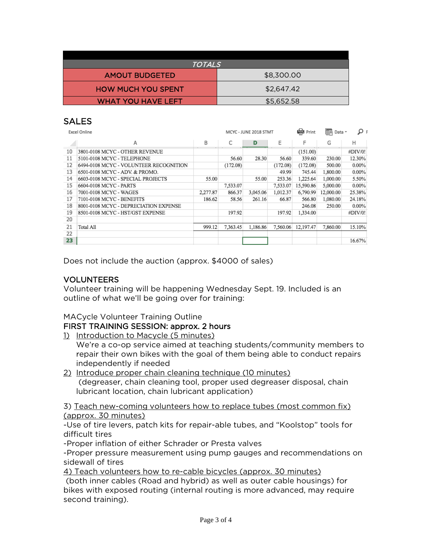| <b>TOTALS</b>             |            |  |  |  |
|---------------------------|------------|--|--|--|
| <b>AMOUT BUDGETED</b>     | \$8,300.00 |  |  |  |
| <b>HOW MUCH YOU SPENT</b> | \$2,647.42 |  |  |  |
| <b>WHAT YOU HAVE LEFT</b> | \$5,652.58 |  |  |  |

## **SALES**

| Excel Online |                                        |          | MCYC - JUNE 2018 STMT |          |          | ep Print  | G<br>Data - | ۽ تو     |
|--------------|----------------------------------------|----------|-----------------------|----------|----------|-----------|-------------|----------|
|              | Α                                      | B        | C                     | D        | Ε        | F         | G           | Н        |
| 10           | 3801-0108 MCYC - OTHER REVENUE         |          |                       |          |          | (151.00)  |             | #DIV/0!  |
| 11           | 5101-0108 MCYC - TELEPHONE             |          | 56.60                 | 28.30    | 56.60    | 339.60    | 230.00      | 12.30%   |
| 12           | 6494-0108 MCYC - VOLUNTEER RECOGNITION |          | (172.08)              |          | (172.08) | (172.08)  | 500.00      | $0.00\%$ |
| 13           | 6501-0108 MCYC - ADV. & PROMO.         |          |                       |          | 49.99    | 745.44    | 1,800.00    | $0.00\%$ |
| 14           | 6603-0108 MCYC - SPECIAL PROJECTS      | 55.00    |                       | 55.00    | 253.36   | 1,225.64  | 1,000.00    | 5.50%    |
| 15           | 6604-0108 MCYC - PARTS                 |          | 7,533.07              |          | 7,533.07 | 15,590.86 | 5,000.00    | $0.00\%$ |
| 16           | 7001-0108 MCYC - WAGES                 | 2,277.87 | 866.37                | 3,045.06 | 1,012.37 | 6,790.99  | 12,000.00   | 25.38%   |
| 17           | 7101-0108 MCYC - BENEFITS              | 186.62   | 58.56                 | 261.16   | 66.87    | 566.80    | 1,080.00    | 24.18%   |
| 18           | 8001-0108 MCYC - DEPRECIATION EXPENSE  |          |                       |          |          | 246.08    | 250.00      | $0.00\%$ |
| 19           | 8501-0108 MCYC - HST/GST EXPENSE       |          | 197.92                |          | 197.92   | 1,334.00  |             | #DIV/0!  |
| 20           |                                        |          |                       |          |          |           |             |          |
| 21           | Total All                              | 999.12   | 7.363.45              | 1,186.86 | 7.560.06 | 12,197.47 | 7,860.00    | 15.10%   |
| 22           |                                        |          |                       |          |          |           |             |          |
| 23           |                                        |          |                       |          |          |           |             | 16.67%   |

Does not include the auction (approx. \$4000 of sales)

## VOLUNTEERS

Volunteer training will be happening Wednesday Sept. 19. Included is an outline of what we'll be going over for training:

## MACycle Volunteer Training Outline

## FIRST TRAINING SESSION: approx. 2 hours

- 1) Introduction to Macycle (5 minutes)
	- We're a co-op service aimed at teaching students/community members to repair their own bikes with the goal of them being able to conduct repairs independently if needed
- 2) Introduce proper chain cleaning technique (10 minutes) (degreaser, chain cleaning tool, proper used degreaser disposal, chain lubricant location, chain lubricant application)

3) Teach new-coming volunteers how to replace tubes (most common fix) (approx. 30 minutes)

-Use of tire levers, patch kits for repair-able tubes, and "Koolstop" tools for difficult tires

-Proper inflation of either Schrader or Presta valves

-Proper pressure measurement using pump gauges and recommendations on sidewall of tires

4) Teach volunteers how to re-cable bicycles (approx. 30 minutes)

(both inner cables (Road and hybrid) as well as outer cable housings) for bikes with exposed routing (internal routing is more advanced, may require second training).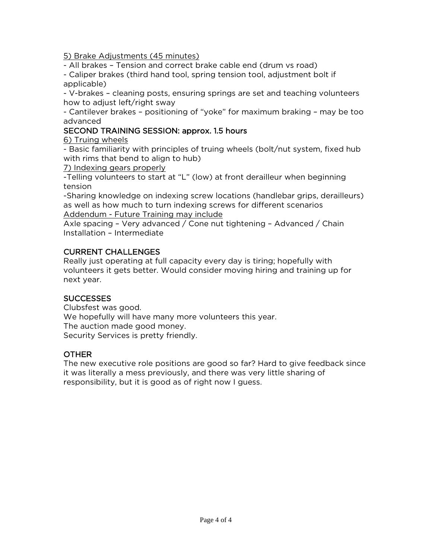5) Brake Adjustments (45 minutes)

- All brakes – Tension and correct brake cable end (drum vs road)

- Caliper brakes (third hand tool, spring tension tool, adjustment bolt if applicable)

- V-brakes – cleaning posts, ensuring springs are set and teaching volunteers how to adjust left/right sway

- Cantilever brakes – positioning of "yoke" for maximum braking – may be too advanced

## SECOND TRAINING SESSION: approx. 1.5 hours

6) Truing wheels

- Basic familiarity with principles of truing wheels (bolt/nut system, fixed hub with rims that bend to align to hub)

7) Indexing gears properly

-Telling volunteers to start at "L" (low) at front derailleur when beginning tension

-Sharing knowledge on indexing screw locations (handlebar grips, derailleurs) as well as how much to turn indexing screws for different scenarios Addendum - Future Training may include

Axle spacing – Very advanced / Cone nut tightening – Advanced / Chain Installation – Intermediate

## CURRENT CHALLENGES

Really just operating at full capacity every day is tiring; hopefully with volunteers it gets better. Would consider moving hiring and training up for next year.

## SUCCESSES

Clubsfest was good. We hopefully will have many more volunteers this year. The auction made good money. Security Services is pretty friendly.

## OTHER

The new executive role positions are good so far? Hard to give feedback since it was literally a mess previously, and there was very little sharing of responsibility, but it is good as of right now I guess.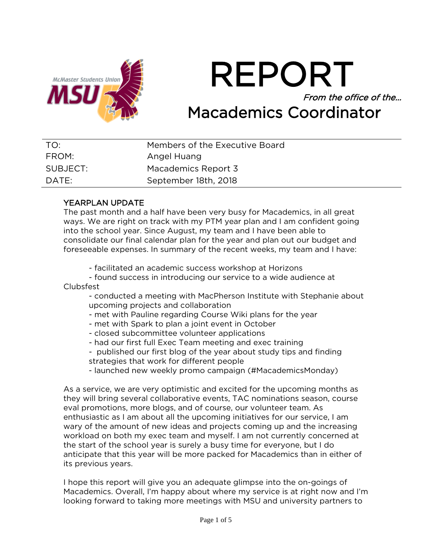

REPORT From the office of the… Macademics Coordinator

| TO:      | Members of the Executive Board |  |
|----------|--------------------------------|--|
| FROM:    | Angel Huang                    |  |
| SUBJECT: | Macademics Report 3            |  |
| DATE:    | September 18th, 2018           |  |

## YEARPLAN UPDATE

The past month and a half have been very busy for Macademics, in all great ways. We are right on track with my PTM year plan and I am confident going into the school year. Since August, my team and I have been able to consolidate our final calendar plan for the year and plan out our budget and foreseeable expenses. In summary of the recent weeks, my team and I have:

- facilitated an academic success workshop at Horizons
- found success in introducing our service to a wide audience at Clubsfest
	- conducted a meeting with MacPherson Institute with Stephanie about upcoming projects and collaboration
	- met with Pauline regarding Course Wiki plans for the year
	- met with Spark to plan a joint event in October
	- closed subcommittee volunteer applications
	- had our first full Exec Team meeting and exec training
	- published our first blog of the year about study tips and finding
	- strategies that work for different people
	- launched new weekly promo campaign (#MacademicsMonday)

As a service, we are very optimistic and excited for the upcoming months as they will bring several collaborative events, TAC nominations season, course eval promotions, more blogs, and of course, our volunteer team. As enthusiastic as I am about all the upcoming initiatives for our service, I am wary of the amount of new ideas and projects coming up and the increasing workload on both my exec team and myself. I am not currently concerned at the start of the school year is surely a busy time for everyone, but I do anticipate that this year will be more packed for Macademics than in either of its previous years.

I hope this report will give you an adequate glimpse into the on-goings of Macademics. Overall, I'm happy about where my service is at right now and I'm looking forward to taking more meetings with MSU and university partners to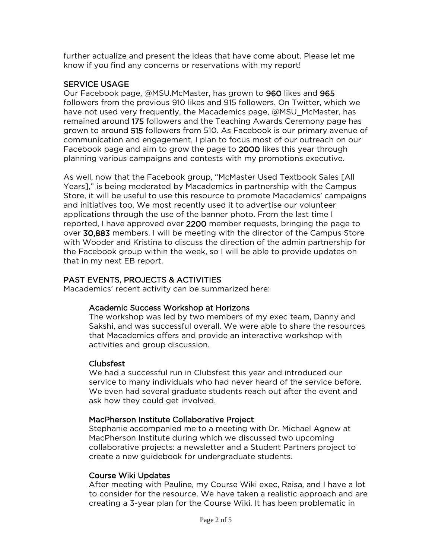further actualize and present the ideas that have come about. Please let me know if you find any concerns or reservations with my report!

## SERVICE USAGE

Our Facebook page, @MSU.McMaster, has grown to 960 likes and 965 followers from the previous 910 likes and 915 followers. On Twitter, which we have not used very frequently, the Macademics page, @MSU\_McMaster, has remained around 175 followers and the Teaching Awards Ceremony page has grown to around 515 followers from 510. As Facebook is our primary avenue of communication and engagement, I plan to focus most of our outreach on our Facebook page and aim to grow the page to 2000 likes this year through planning various campaigns and contests with my promotions executive.

As well, now that the Facebook group, "McMaster Used Textbook Sales [All Years]," is being moderated by Macademics in partnership with the Campus Store, it will be useful to use this resource to promote Macademics' campaigns and initiatives too. We most recently used it to advertise our volunteer applications through the use of the banner photo. From the last time I reported, I have approved over 2200 member requests, bringing the page to over 30,883 members. I will be meeting with the director of the Campus Store with Wooder and Kristina to discuss the direction of the admin partnership for the Facebook group within the week, so I will be able to provide updates on that in my next EB report.

## PAST EVENTS, PROJECTS & ACTIVITIES

Macademics' recent activity can be summarized here:

## Academic Success Workshop at Horizons

The workshop was led by two members of my exec team, Danny and Sakshi, and was successful overall. We were able to share the resources that Macademics offers and provide an interactive workshop with activities and group discussion.

## Clubsfest

We had a successful run in Clubsfest this year and introduced our service to many individuals who had never heard of the service before. We even had several graduate students reach out after the event and ask how they could get involved.

## MacPherson Institute Collaborative Project

Stephanie accompanied me to a meeting with Dr. Michael Agnew at MacPherson Institute during which we discussed two upcoming collaborative projects: a newsletter and a Student Partners project to create a new guidebook for undergraduate students.

## Course Wiki Updates

After meeting with Pauline, my Course Wiki exec, Raisa, and I have a lot to consider for the resource. We have taken a realistic approach and are creating a 3-year plan for the Course Wiki. It has been problematic in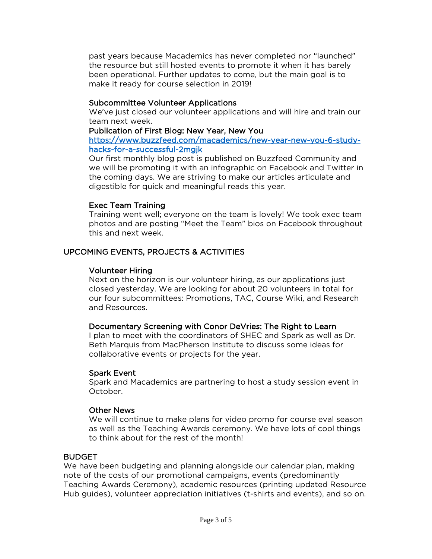past years because Macademics has never completed nor "launched" the resource but still hosted events to promote it when it has barely been operational. Further updates to come, but the main goal is to make it ready for course selection in 2019!

#### Subcommittee Volunteer Applications

We've just closed our volunteer applications and will hire and train our team next week.

#### Publication of First Blog: New Year, New You

[https://www.buzzfeed.com/macademics/new-year-new-you-6-study](https://www.buzzfeed.com/macademics/new-year-new-you-6-study-hacks-for-a-successful-2mgjk)[hacks-for-a-successful-2mgjk](https://www.buzzfeed.com/macademics/new-year-new-you-6-study-hacks-for-a-successful-2mgjk) 

Our first monthly blog post is published on Buzzfeed Community and we will be promoting it with an infographic on Facebook and Twitter in the coming days. We are striving to make our articles articulate and digestible for quick and meaningful reads this year.

#### Exec Team Training

Training went well; everyone on the team is lovely! We took exec team photos and are posting "Meet the Team" bios on Facebook throughout this and next week.

## UPCOMING EVENTS, PROJECTS & ACTIVITIES

#### Volunteer Hiring

Next on the horizon is our volunteer hiring, as our applications just closed yesterday. We are looking for about 20 volunteers in total for our four subcommittees: Promotions, TAC, Course Wiki, and Research and Resources.

#### Documentary Screening with Conor DeVries: The Right to Learn

I plan to meet with the coordinators of SHEC and Spark as well as Dr. Beth Marquis from MacPherson Institute to discuss some ideas for collaborative events or projects for the year.

#### Spark Event

Spark and Macademics are partnering to host a study session event in October.

## Other News

We will continue to make plans for video promo for course eval season as well as the Teaching Awards ceremony. We have lots of cool things to think about for the rest of the month!

#### **BUDGET**

We have been budgeting and planning alongside our calendar plan, making note of the costs of our promotional campaigns, events (predominantly Teaching Awards Ceremony), academic resources (printing updated Resource Hub guides), volunteer appreciation initiatives (t-shirts and events), and so on.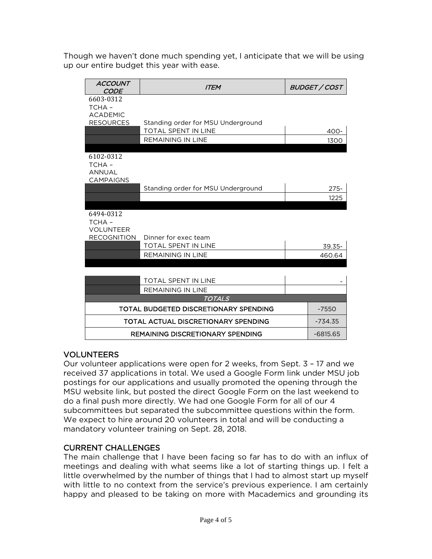Though we haven't done much spending yet, I anticipate that we will be using up our entire budget this year with ease.

| <b>ACCOUNT</b><br><b>CODE</b>       | <b>ITEM</b>                             | <b>BUDGET / COST</b> |
|-------------------------------------|-----------------------------------------|----------------------|
| 6603-0312                           |                                         |                      |
| TCHA-                               |                                         |                      |
| <b>ACADEMIC</b><br><b>RESOURCES</b> | Standing order for MSU Underground      |                      |
|                                     | <b>TOTAL SPENT IN LINE</b>              | 400-                 |
|                                     | <b>REMAINING IN LINE</b>                | 1300                 |
|                                     |                                         |                      |
| 6102-0312                           |                                         |                      |
| TCHA-                               |                                         |                      |
| <b>ANNUAL</b><br><b>CAMPAIGNS</b>   |                                         |                      |
|                                     | Standing order for MSU Underground      | $275 -$              |
|                                     |                                         | 1225                 |
|                                     |                                         |                      |
| 6494-0312                           |                                         |                      |
| TCHA-<br><b>VOLUNTEER</b>           |                                         |                      |
| <b>RECOGNITION</b>                  | Dinner for exec team                    |                      |
|                                     | <b>TOTAL SPENT IN LINE</b>              | 39.35-               |
|                                     | <b>REMAINING IN LINE</b>                | 460.64               |
|                                     |                                         |                      |
|                                     |                                         |                      |
|                                     | <b>TOTAL SPENT IN LINE</b>              |                      |
|                                     | <b>REMAINING IN LINE</b>                |                      |
|                                     | <b>TOTALS</b>                           |                      |
|                                     | TOTAL BUDGETED DISCRETIONARY SPENDING   | $-7550$              |
|                                     | TOTAL ACTUAL DISCRETIONARY SPENDING     | $-734.35$            |
|                                     | <b>REMAINING DISCRETIONARY SPENDING</b> | $-6815.65$           |

## VOLUNTEERS

Our volunteer applications were open for 2 weeks, from Sept. 3 – 17 and we received 37 applications in total. We used a Google Form link under MSU job postings for our applications and usually promoted the opening through the MSU website link, but posted the direct Google Form on the last weekend to do a final push more directly. We had one Google Form for all of our 4 subcommittees but separated the subcommittee questions within the form. We expect to hire around 20 volunteers in total and will be conducting a mandatory volunteer training on Sept. 28, 2018.

## CURRENT CHALLENGES

The main challenge that I have been facing so far has to do with an influx of meetings and dealing with what seems like a lot of starting things up. I felt a little overwhelmed by the number of things that I had to almost start up myself with little to no context from the service's previous experience. I am certainly happy and pleased to be taking on more with Macademics and grounding its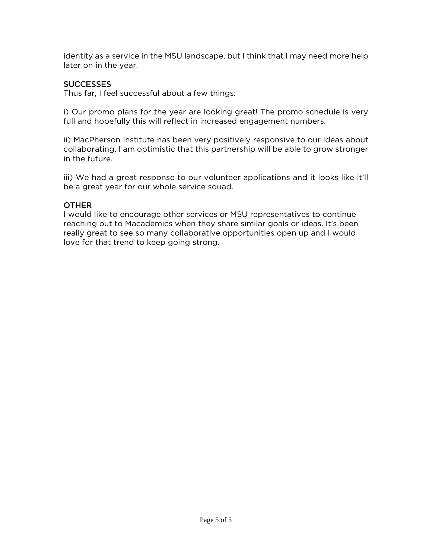identity as a service in the MSU landscape, but I think that I may need more help later on in the year.

#### SUCCESSES

Thus far, I feel successful about a few things:

i) Our promo plans for the year are looking great! The promo schedule is very full and hopefully this will reflect in increased engagement numbers.

ii) MacPherson Institute has been very positively responsive to our ideas about collaborating. I am optimistic that this partnership will be able to grow stronger in the future.

iii) We had a great response to our volunteer applications and it looks like it'll be a great year for our whole service squad.

#### **OTHER**

I would like to encourage other services or MSU representatives to continue reaching out to Macademics when they share similar goals or ideas. It's been really great to see so many collaborative opportunities open up and I would love for that trend to keep going strong.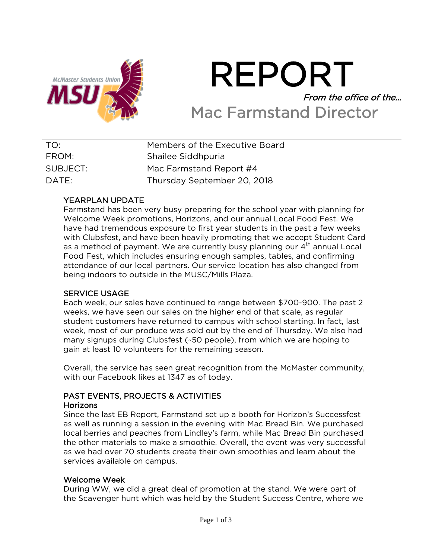

# REPORT From the office of the… Mac Farmstand Director

| TO:      | Members of the Executive Board |
|----------|--------------------------------|
| FROM:    | Shailee Siddhpuria             |
| SUBJECT: | Mac Farmstand Report #4        |
| DATF:    | Thursday September 20, 2018    |

## YEARPLAN UPDATE

Farmstand has been very busy preparing for the school year with planning for Welcome Week promotions, Horizons, and our annual Local Food Fest. We have had tremendous exposure to first year students in the past a few weeks with Clubsfest, and have been heavily promoting that we accept Student Card as a method of payment. We are currently busy planning our 4<sup>th</sup> annual Local Food Fest, which includes ensuring enough samples, tables, and confirming attendance of our local partners. Our service location has also changed from being indoors to outside in the MUSC/Mills Plaza.

## SERVICE USAGE

Each week, our sales have continued to range between \$700-900. The past 2 weeks, we have seen our sales on the higher end of that scale, as regular student customers have returned to campus with school starting. In fact, last week, most of our produce was sold out by the end of Thursday. We also had many signups during Clubsfest (~50 people), from which we are hoping to gain at least 10 volunteers for the remaining season.

Overall, the service has seen great recognition from the McMaster community, with our Facebook likes at 1347 as of today.

#### PAST EVENTS, PROJECTS & ACTIVITIES Horizons

Since the last EB Report, Farmstand set up a booth for Horizon's Successfest as well as running a session in the evening with Mac Bread Bin. We purchased local berries and peaches from Lindley's farm, while Mac Bread Bin purchased the other materials to make a smoothie. Overall, the event was very successful as we had over 70 students create their own smoothies and learn about the services available on campus.

## Welcome Week

During WW, we did a great deal of promotion at the stand. We were part of the Scavenger hunt which was held by the Student Success Centre, where we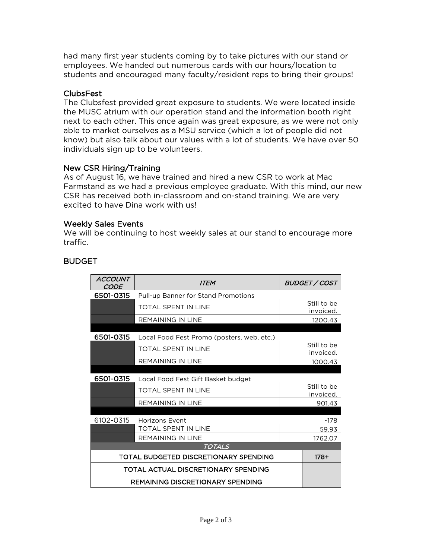had many first year students coming by to take pictures with our stand or employees. We handed out numerous cards with our hours/location to students and encouraged many faculty/resident reps to bring their groups!

#### ClubsFest

The Clubsfest provided great exposure to students. We were located inside the MUSC atrium with our operation stand and the information booth right next to each other. This once again was great exposure, as we were not only able to market ourselves as a MSU service (which a lot of people did not know) but also talk about our values with a lot of students. We have over 50 individuals sign up to be volunteers.

#### New CSR Hiring/Training

As of August 16, we have trained and hired a new CSR to work at Mac Farmstand as we had a previous employee graduate. With this mind, our new CSR has received both in-classroom and on-stand training. We are very excited to have Dina work with us!

#### Weekly Sales Events

We will be continuing to host weekly sales at our stand to encourage more traffic.

| <b>ACCOUNT</b><br><i>CODE</i>           | <b>ITEM</b>                                |  | BUDGET / COST            |  |
|-----------------------------------------|--------------------------------------------|--|--------------------------|--|
| 6501-0315                               | Pull-up Banner for Stand Promotions        |  |                          |  |
|                                         | <b>TOTAL SPENT IN LINE</b>                 |  | Still to be<br>invoiced. |  |
|                                         | <b>REMAINING IN LINE</b>                   |  | 1200.43                  |  |
| 6501-0315                               | Local Food Fest Promo (posters, web, etc.) |  |                          |  |
|                                         | <b>TOTAL SPENT IN LINE</b>                 |  | Still to be<br>invoiced. |  |
|                                         | <b>REMAINING IN LINE</b>                   |  | 1000.43                  |  |
|                                         |                                            |  |                          |  |
| 6501-0315                               | Local Food Fest Gift Basket budget         |  | Still to be              |  |
|                                         | <b>TOTAL SPENT IN LINE</b>                 |  | invoiced.                |  |
|                                         | <b>REMAINING IN LINE</b>                   |  | 901.43                   |  |
|                                         |                                            |  |                          |  |
| 6102-0315                               | Horizons Event                             |  | ~178                     |  |
|                                         | <b>TOTAL SPENT IN LINE</b>                 |  | 59.93                    |  |
|                                         | <b>REMAINING IN LINE</b>                   |  | 1762.07                  |  |
| <b>TOTALS</b>                           |                                            |  |                          |  |
|                                         | TOTAL BUDGETED DISCRETIONARY SPENDING      |  | $178+$                   |  |
| TOTAL ACTUAL DISCRETIONARY SPENDING     |                                            |  |                          |  |
| <b>REMAINING DISCRETIONARY SPENDING</b> |                                            |  |                          |  |

## BUDGET